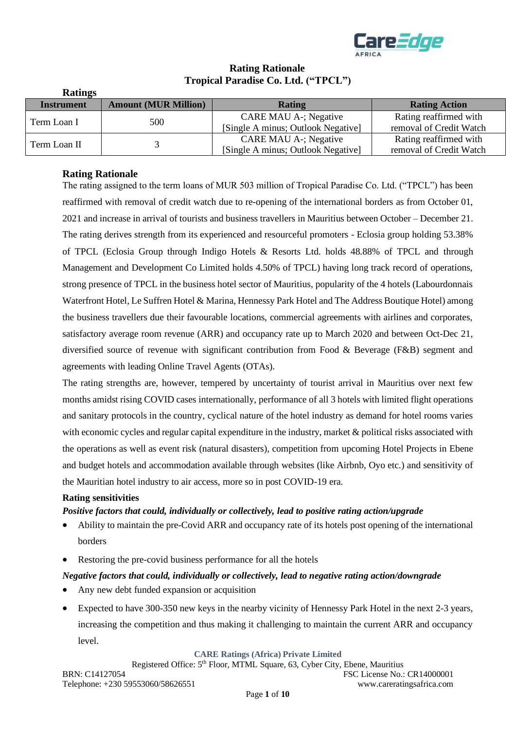

# **Rating Rationale Tropical Paradise Co. Ltd. ("TPCL")**

| <b>Ratings</b>    |                             |                                    |                         |  |
|-------------------|-----------------------------|------------------------------------|-------------------------|--|
| <b>Instrument</b> | <b>Amount (MUR Million)</b> | Rating                             | <b>Rating Action</b>    |  |
|                   |                             | <b>CARE MAU A-; Negative</b>       | Rating reaffirmed with  |  |
| Term Loan I       | 500                         | [Single A minus; Outlook Negative] | removal of Credit Watch |  |
| Term Loan II      |                             | CARE MAU A-; Negative              | Rating reaffirmed with  |  |
|                   |                             | [Single A minus; Outlook Negative] | removal of Credit Watch |  |

## **Rating Rationale**

The rating assigned to the term loans of MUR 503 million of Tropical Paradise Co. Ltd. ("TPCL") has been reaffirmed with removal of credit watch due to re-opening of the international borders as from October 01, 2021 and increase in arrival of tourists and business travellers in Mauritius between October – December 21. The rating derives strength from its experienced and resourceful promoters - Eclosia group holding 53.38% of TPCL (Eclosia Group through Indigo Hotels & Resorts Ltd. holds 48.88% of TPCL and through Management and Development Co Limited holds 4.50% of TPCL) having long track record of operations, strong presence of TPCL in the business hotel sector of Mauritius, popularity of the 4 hotels (Labourdonnais Waterfront Hotel, Le Suffren Hotel & Marina, Hennessy Park Hotel and The Address Boutique Hotel) among the business travellers due their favourable locations, commercial agreements with airlines and corporates, satisfactory average room revenue (ARR) and occupancy rate up to March 2020 and between Oct-Dec 21, diversified source of revenue with significant contribution from Food & Beverage (F&B) segment and agreements with leading Online Travel Agents (OTAs).

The rating strengths are, however, tempered by uncertainty of tourist arrival in Mauritius over next few months amidst rising COVID cases internationally, performance of all 3 hotels with limited flight operations and sanitary protocols in the country, cyclical nature of the hotel industry as demand for hotel rooms varies with economic cycles and regular capital expenditure in the industry, market & political risks associated with the operations as well as event risk (natural disasters), competition from upcoming Hotel Projects in Ebene and budget hotels and accommodation available through websites (like Airbnb, Oyo etc.) and sensitivity of the Mauritian hotel industry to air access, more so in post COVID-19 era.

## **Rating sensitivities**

### *Positive factors that could, individually or collectively, lead to positive rating action/upgrade*

- Ability to maintain the pre-Covid ARR and occupancy rate of its hotels post opening of the international borders
- Restoring the pre-covid business performance for all the hotels

## *Negative factors that could, individually or collectively, lead to negative rating action/downgrade*

- Any new debt funded expansion or acquisition
- Expected to have 300-350 new keys in the nearby vicinity of Hennessy Park Hotel in the next 2-3 years, increasing the competition and thus making it challenging to maintain the current ARR and occupancy level.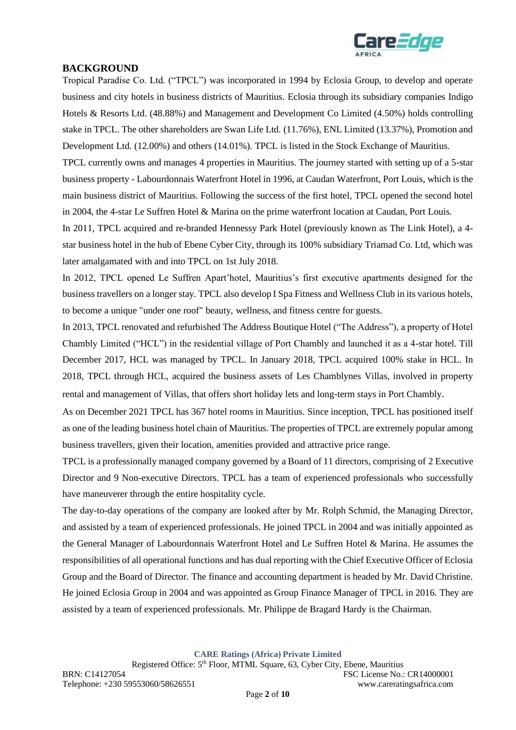

## **BACKGROUND**

Tropical Paradise Co. Ltd. ("TPCL") was incorporated in 1994 by Eclosia Group, to develop and operate business and city hotels in business districts of Mauritius. Eclosia through its subsidiary companies Indigo Hotels & Resorts Ltd. (48.88%) and Management and Development Co Limited (4.50%) holds controlling stake in TPCL. The other shareholders are Swan Life Ltd. (11.76%), ENL Limited (13.37%), Promotion and Development Ltd. (12.00%) and others (14.01%). TPCL is listed in the Stock Exchange of Mauritius. TPCL currently owns and manages 4 properties in Mauritius. The journey started with setting up of a 5-star business property - Labourdonnais Waterfront Hotel in 1996, at Caudan Waterfront, Port Louis, which is the main business district of Mauritius. Following the success of the first hotel, TPCL opened the second hotel in 2004, the 4-star Le Suffren Hotel & Marina on the prime waterfront location at Caudan, Port Louis.

In 2011, TPCL acquired and re-branded Hennessy Park Hotel (previously known as The Link Hotel), a 4 star business hotel in the hub of Ebene Cyber City, through its 100% subsidiary Triamad Co. Ltd, which was later amalgamated with and into TPCL on 1st July 2018.

In 2012, TPCL opened Le Suffren Apart'hotel, Mauritius's first executive apartments designed for the business travellers on a longer stay. TPCL also develop I Spa Fitness and Wellness Club in its various hotels, to become a unique "under one roof" beauty, wellness, and fitness centre for guests.

In 2013, TPCL renovated and refurbished The Address Boutique Hotel ("The Address"), a property of Hotel Chambly Limited ("HCL") in the residential village of Port Chambly and launched it as a 4-star hotel. Till December 2017, HCL was managed by TPCL. In January 2018, TPCL acquired 100% stake in HCL. In 2018, TPCL through HCL, acquired the business assets of Les Chamblynes Villas, involved in property rental and management of Villas, that offers short holiday lets and long-term stays in Port Chambly.

As on December 2021 TPCL has 367 hotel rooms in Mauritius. Since inception, TPCL has positioned itself as one of the leading business hotel chain of Mauritius. The properties of TPCL are extremely popular among business travellers, given their location, amenities provided and attractive price range.

TPCL is a professionally managed company governed by a Board of 11 directors, comprising of 2 Executive Director and 9 Non-executive Directors. TPCL has a team of experienced professionals who successfully have maneuverer through the entire hospitality cycle.

The day-to-day operations of the company are looked after by Mr. Rolph Schmid, the Managing Director, and assisted by a team of experienced professionals. He joined TPCL in 2004 and was initially appointed as the General Manager of Labourdonnais Waterfront Hotel and Le Suffren Hotel & Marina. He assumes the responsibilities of all operational functions and has dual reporting with the Chief Executive Officer of Eclosia Group and the Board of Director. The finance and accounting department is headed by Mr. David Christine. He joined Eclosia Group in 2004 and was appointed as Group Finance Manager of TPCL in 2016. They are assisted by a team of experienced professionals. Mr. Philippe de Bragard Hardy is the Chairman.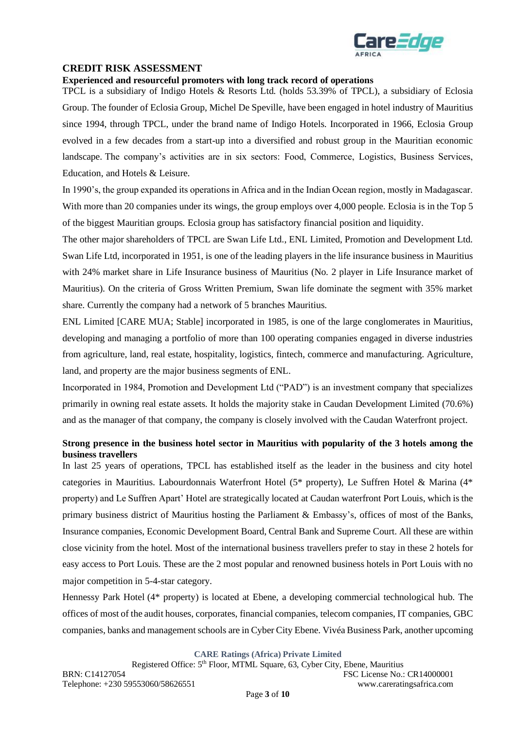

### **CREDIT RISK ASSESSMENT**

### **Experienced and resourceful promoters with long track record of operations**

TPCL is a subsidiary of Indigo Hotels & Resorts Ltd. (holds 53.39% of TPCL), a subsidiary of Eclosia Group. The founder of Eclosia Group, Michel De Speville, have been engaged in hotel industry of Mauritius since 1994, through TPCL, under the brand name of Indigo Hotels. Incorporated in 1966, Eclosia Group evolved in a few decades from a start-up into a diversified and robust group in the Mauritian economic landscape. The company's activities are in six sectors: Food, Commerce, Logistics, Business Services, Education, and Hotels & Leisure.

In 1990's, the group expanded its operations in Africa and in the Indian Ocean region, mostly in Madagascar. With more than 20 companies under its wings, the group employs over 4,000 people. Eclosia is in the Top 5 of the biggest Mauritian groups. Eclosia group has satisfactory financial position and liquidity.

The other major shareholders of TPCL are Swan Life Ltd., ENL Limited, Promotion and Development Ltd. Swan Life Ltd, incorporated in 1951, is one of the leading players in the life insurance business in Mauritius with 24% market share in Life Insurance business of Mauritius (No. 2 player in Life Insurance market of Mauritius). On the criteria of Gross Written Premium, Swan life dominate the segment with 35% market share. Currently the company had a network of 5 branches Mauritius.

ENL Limited [CARE MUA; Stable] incorporated in 1985, is one of the large conglomerates in Mauritius, developing and managing a portfolio of more than 100 operating companies engaged in diverse industries from agriculture, land, real estate, hospitality, logistics, fintech, commerce and manufacturing. Agriculture, land, and property are the major business segments of ENL.

Incorporated in 1984, Promotion and Development Ltd ("PAD") is an investment company that specializes primarily in owning real estate assets. It holds the majority stake in Caudan Development Limited (70.6%) and as the manager of that company, the company is closely involved with the Caudan Waterfront project.

## **Strong presence in the business hotel sector in Mauritius with popularity of the 3 hotels among the business travellers**

In last 25 years of operations, TPCL has established itself as the leader in the business and city hotel categories in Mauritius. Labourdonnais Waterfront Hotel (5\* property), Le Suffren Hotel & Marina (4\* property) and Le Suffren Apart' Hotel are strategically located at Caudan waterfront Port Louis, which is the primary business district of Mauritius hosting the Parliament & Embassy's, offices of most of the Banks, Insurance companies, Economic Development Board, Central Bank and Supreme Court. All these are within close vicinity from the hotel. Most of the international business travellers prefer to stay in these 2 hotels for easy access to Port Louis. These are the 2 most popular and renowned business hotels in Port Louis with no major competition in 5-4-star category.

Hennessy Park Hotel (4\* property) is located at Ebene, a developing commercial technological hub. The offices of most of the audit houses, corporates, financial companies, telecom companies, IT companies, GBC companies, banks and management schools are in Cyber City Ebene. Vivéa Business Park, another upcoming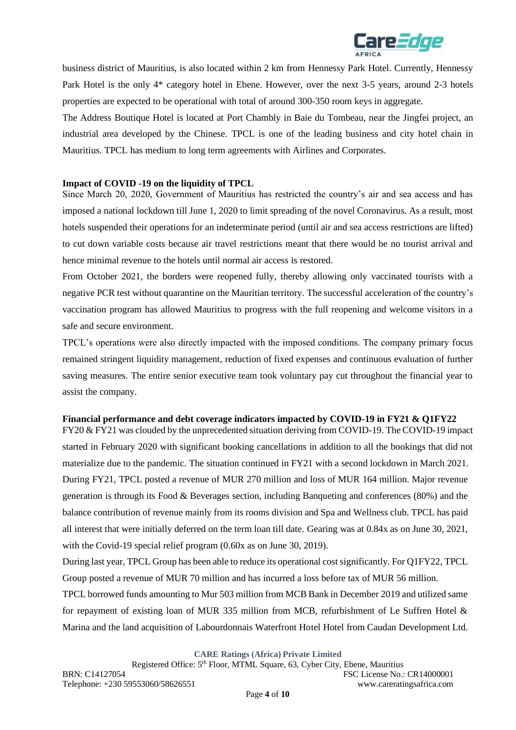

business district of Mauritius, is also located within 2 km from Hennessy Park Hotel. Currently, Hennessy Park Hotel is the only 4\* category hotel in Ebene. However, over the next 3-5 years, around 2-3 hotels properties are expected to be operational with total of around 300-350 room keys in aggregate.

The Address Boutique Hotel is located at Port Chambly in Baie du Tombeau, near the Jingfei project, an industrial area developed by the Chinese. TPCL is one of the leading business and city hotel chain in Mauritius. TPCL has medium to long term agreements with Airlines and Corporates.

### **Impact of COVID -19 on the liquidity of TPCL**

Since March 20, 2020, Government of Mauritius has restricted the country's air and sea access and has imposed a national lockdown till June 1, 2020 to limit spreading of the novel Coronavirus. As a result, most hotels suspended their operations for an indeterminate period (until air and sea access restrictions are lifted) to cut down variable costs because air travel restrictions meant that there would be no tourist arrival and hence minimal revenue to the hotels until normal air access is restored.

From October 2021, the borders were reopened fully, thereby allowing only vaccinated tourists with a negative PCR test without quarantine on the Mauritian territory. The successful acceleration of the country's vaccination program has allowed Mauritius to progress with the full reopening and welcome visitors in a safe and secure environment.

TPCL's operations were also directly impacted with the imposed conditions. The company primary focus remained stringent liquidity management, reduction of fixed expenses and continuous evaluation of further saving measures. The entire senior executive team took voluntary pay cut throughout the financial year to assist the company.

## **Financial performance and debt coverage indicators impacted by COVID-19 in FY21 & Q1FY22**

FY20 & FY21 was clouded by the unprecedented situation deriving from COVID-19. The COVID-19 impact started in February 2020 with significant booking cancellations in addition to all the bookings that did not materialize due to the pandemic. The situation continued in FY21 with a second lockdown in March 2021. During FY21, TPCL posted a revenue of MUR 270 million and loss of MUR 164 million. Major revenue generation is through its Food & Beverages section, including Banqueting and conferences (80%) and the balance contribution of revenue mainly from its rooms division and Spa and Wellness club. TPCL has paid all interest that were initially deferred on the term loan till date. Gearing was at 0.84x as on June 30, 2021, with the Covid-19 special relief program  $(0.60x$  as on June 30, 2019).

During last year, TPCL Group has been able to reduce its operational cost significantly. For Q1FY22, TPCL Group posted a revenue of MUR 70 million and has incurred a loss before tax of MUR 56 million.

TPCL borrowed funds amounting to Mur 503 million from MCB Bank in December 2019 and utilized same for repayment of existing loan of MUR 335 million from MCB, refurbishment of Le Suffren Hotel & Marina and the land acquisition of Labourdonnais Waterfront Hotel Hotel from Caudan Development Ltd.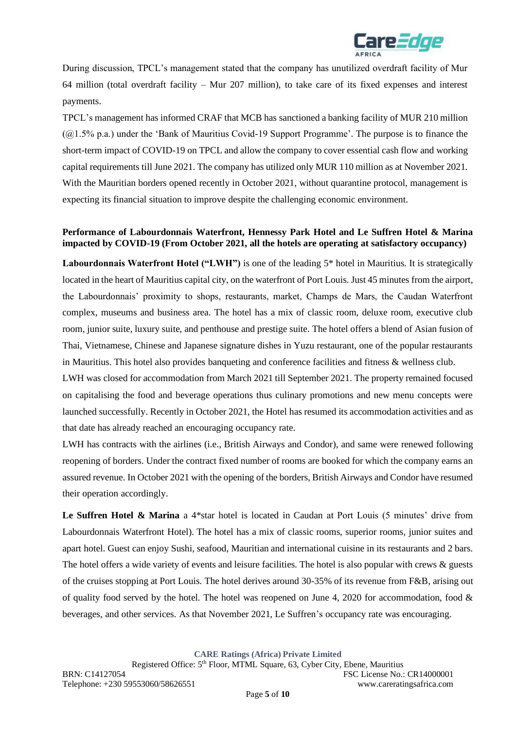

During discussion, TPCL's management stated that the company has unutilized overdraft facility of Mur 64 million (total overdraft facility – Mur 207 million), to take care of its fixed expenses and interest payments.

TPCL's management has informed CRAF that MCB has sanctioned a banking facility of MUR 210 million  $(Q1.5\%$  p.a.) under the 'Bank of Mauritius Covid-19 Support Programme'. The purpose is to finance the short-term impact of COVID-19 on TPCL and allow the company to cover essential cash flow and working capital requirements till June 2021. The company has utilized only MUR 110 million as at November 2021. With the Mauritian borders opened recently in October 2021, without quarantine protocol, management is expecting its financial situation to improve despite the challenging economic environment.

## **Performance of Labourdonnais Waterfront, Hennessy Park Hotel and Le Suffren Hotel & Marina impacted by COVID-19 (From October 2021, all the hotels are operating at satisfactory occupancy)**

Labourdonnais Waterfront Hotel ("LWH") is one of the leading 5<sup>\*</sup> hotel in Mauritius. It is strategically located in the heart of Mauritius capital city, on the waterfront of Port Louis. Just 45 minutes from the airport, the Labourdonnais' proximity to shops, restaurants, market, Champs de Mars, the Caudan Waterfront complex, museums and business area. The hotel has a mix of classic room, deluxe room, executive club room, junior suite, luxury suite, and penthouse and prestige suite. The hotel offers a blend of Asian fusion of Thai, Vietnamese, Chinese and Japanese signature dishes in Yuzu restaurant, one of the popular restaurants in Mauritius. This hotel also provides banqueting and conference facilities and fitness & wellness club.

LWH was closed for accommodation from March 2021 till September 2021. The property remained focused on capitalising the food and beverage operations thus culinary promotions and new menu concepts were launched successfully. Recently in October 2021, the Hotel has resumed its accommodation activities and as that date has already reached an encouraging occupancy rate.

LWH has contracts with the airlines (i.e., British Airways and Condor), and same were renewed following reopening of borders. Under the contract fixed number of rooms are booked for which the company earns an assured revenue. In October 2021 with the opening of the borders, British Airways and Condor have resumed their operation accordingly.

**Le Suffren Hotel & Marina** a 4\*star hotel is located in Caudan at Port Louis (5 minutes' drive from Labourdonnais Waterfront Hotel). The hotel has a mix of classic rooms, superior rooms, junior suites and apart hotel. Guest can enjoy Sushi, seafood, Mauritian and international cuisine in its restaurants and 2 bars. The hotel offers a wide variety of events and leisure facilities. The hotel is also popular with crews & guests of the cruises stopping at Port Louis. The hotel derives around 30-35% of its revenue from F&B, arising out of quality food served by the hotel. The hotel was reopened on June 4, 2020 for accommodation, food & beverages, and other services. As that November 2021, Le Suffren's occupancy rate was encouraging.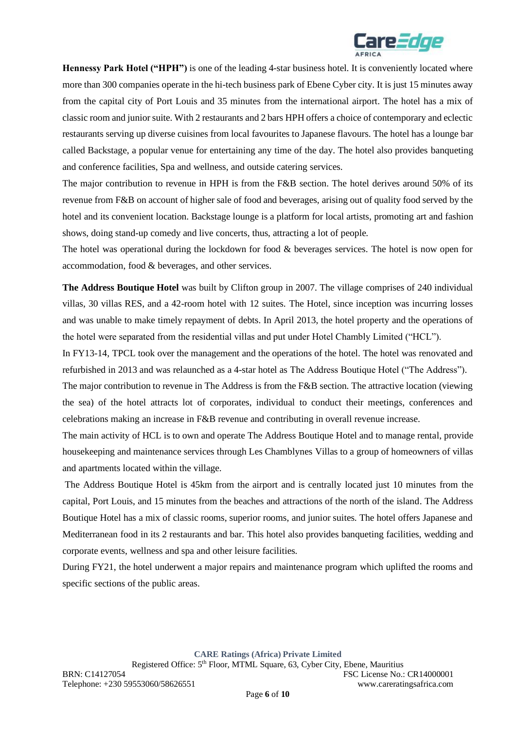

**Hennessy Park Hotel ("HPH")** is one of the leading 4-star business hotel. It is conveniently located where more than 300 companies operate in the hi-tech business park of Ebene Cyber city. It is just 15 minutes away from the capital city of Port Louis and 35 minutes from the international airport. The hotel has a mix of classic room and junior suite. With 2 restaurants and 2 bars HPH offers a choice of contemporary and eclectic restaurants serving up diverse cuisines from local favourites to Japanese flavours. The hotel has a lounge bar called Backstage, a popular venue for entertaining any time of the day. The hotel also provides banqueting and conference facilities, Spa and wellness, and outside catering services.

The major contribution to revenue in HPH is from the F&B section. The hotel derives around 50% of its revenue from F&B on account of higher sale of food and beverages, arising out of quality food served by the hotel and its convenient location. Backstage lounge is a platform for local artists, promoting art and fashion shows, doing stand-up comedy and live concerts, thus, attracting a lot of people.

The hotel was operational during the lockdown for food & beverages services. The hotel is now open for accommodation, food & beverages, and other services.

**The Address Boutique Hotel** was built by Clifton group in 2007. The village comprises of 240 individual villas, 30 villas RES, and a 42-room hotel with 12 suites. The Hotel, since inception was incurring losses and was unable to make timely repayment of debts. In April 2013, the hotel property and the operations of the hotel were separated from the residential villas and put under Hotel Chambly Limited ("HCL").

In FY13-14, TPCL took over the management and the operations of the hotel. The hotel was renovated and refurbished in 2013 and was relaunched as a 4-star hotel as The Address Boutique Hotel ("The Address").

The major contribution to revenue in The Address is from the F&B section. The attractive location (viewing the sea) of the hotel attracts lot of corporates, individual to conduct their meetings, conferences and celebrations making an increase in F&B revenue and contributing in overall revenue increase.

The main activity of HCL is to own and operate The Address Boutique Hotel and to manage rental, provide housekeeping and maintenance services through Les Chamblynes Villas to a group of homeowners of villas and apartments located within the village.

The Address Boutique Hotel is 45km from the airport and is centrally located just 10 minutes from the capital, Port Louis, and 15 minutes from the beaches and attractions of the north of the island. The Address Boutique Hotel has a mix of classic rooms, superior rooms, and junior suites. The hotel offers Japanese and Mediterranean food in its 2 restaurants and bar. This hotel also provides banqueting facilities, wedding and corporate events, wellness and spa and other leisure facilities.

During FY21, the hotel underwent a major repairs and maintenance program which uplifted the rooms and specific sections of the public areas.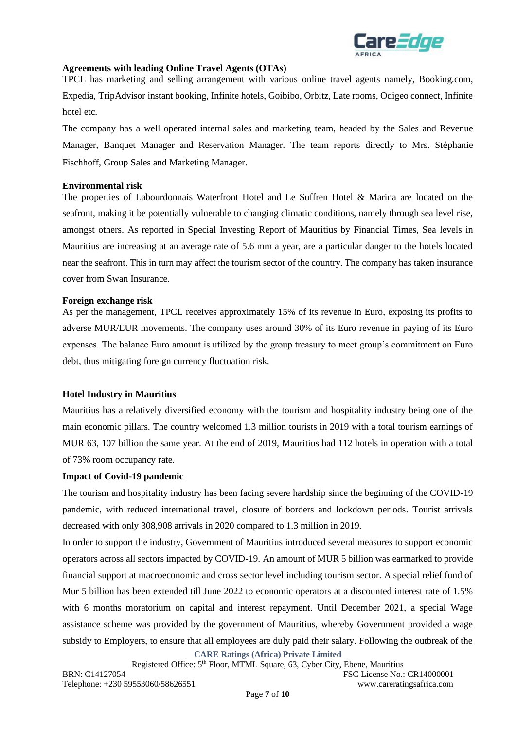

### **Agreements with leading Online Travel Agents (OTAs)**

TPCL has marketing and selling arrangement with various online travel agents namely, Booking.com, Expedia, TripAdvisor instant booking, Infinite hotels, Goibibo, Orbitz, Late rooms, Odigeo connect, Infinite hotel etc.

The company has a well operated internal sales and marketing team, headed by the Sales and Revenue Manager, Banquet Manager and Reservation Manager. The team reports directly to Mrs. Stéphanie Fischhoff, Group Sales and Marketing Manager.

### **Environmental risk**

The properties of Labourdonnais Waterfront Hotel and Le Suffren Hotel & Marina are located on the seafront, making it be potentially vulnerable to changing climatic conditions, namely through sea level rise, amongst others. As reported in Special Investing Report of Mauritius by Financial Times, Sea levels in Mauritius are increasing at an average rate of 5.6 mm a year, are a particular danger to the hotels located near the seafront. This in turn may affect the tourism sector of the country. The company has taken insurance cover from Swan Insurance.

#### **Foreign exchange risk**

As per the management, TPCL receives approximately 15% of its revenue in Euro, exposing its profits to adverse MUR/EUR movements. The company uses around 30% of its Euro revenue in paying of its Euro expenses. The balance Euro amount is utilized by the group treasury to meet group's commitment on Euro debt, thus mitigating foreign currency fluctuation risk.

### **Hotel Industry in Mauritius**

Mauritius has a relatively diversified economy with the tourism and hospitality industry being one of the main economic pillars. The country welcomed 1.3 million tourists in 2019 with a total tourism earnings of MUR 63, 107 billion the same year. At the end of 2019, Mauritius had 112 hotels in operation with a total of 73% room occupancy rate.

### **Impact of Covid-19 pandemic**

The tourism and hospitality industry has been facing severe hardship since the beginning of the COVID-19 pandemic, with reduced international travel, closure of borders and lockdown periods. Tourist arrivals decreased with only 308,908 arrivals in 2020 compared to 1.3 million in 2019.

**CARE Ratings (Africa) Private Limited** In order to support the industry, Government of Mauritius introduced several measures to support economic operators across all sectors impacted by COVID-19. An amount of MUR 5 billion was earmarked to provide financial support at macroeconomic and cross sector level including tourism sector. A special relief fund of Mur 5 billion has been extended till June 2022 to economic operators at a discounted interest rate of 1.5% with 6 months moratorium on capital and interest repayment. Until December 2021, a special Wage assistance scheme was provided by the government of Mauritius, whereby Government provided a wage subsidy to Employers, to ensure that all employees are duly paid their salary. Following the outbreak of the

Registered Office: 5<sup>th</sup> Floor, MTML Square, 63, Cyber City, Ebene, Mauritius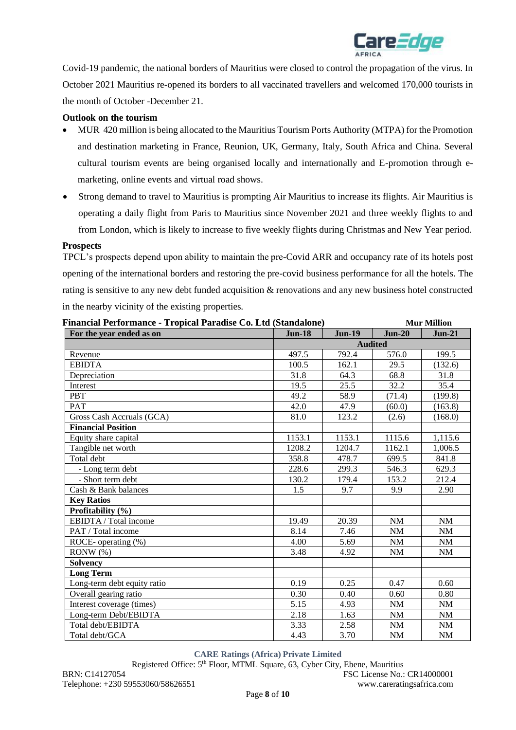

Covid-19 pandemic, the national borders of Mauritius were closed to control the propagation of the virus. In October 2021 Mauritius re-opened its borders to all vaccinated travellers and welcomed 170,000 tourists in the month of October -December 21.

#### **Outlook on the tourism**

- MUR 420 million is being allocated to the Mauritius Tourism Ports Authority (MTPA) for the Promotion and destination marketing in France, Reunion, UK, Germany, Italy, South Africa and China*.* Several cultural tourism events are being organised locally and internationally and E-promotion through emarketing, online events and virtual road shows.
- Strong demand to travel to Mauritius is prompting Air Mauritius to increase its flights. Air Mauritius is operating a daily flight from Paris to Mauritius since November 2021 and three weekly flights to and from London, which is likely to increase to five weekly flights during Christmas and New Year period.

#### **Prospects**

TPCL's prospects depend upon ability to maintain the pre-Covid ARR and occupancy rate of its hotels post opening of the international borders and restoring the pre-covid business performance for all the hotels. The rating is sensitive to any new debt funded acquisition & renovations and any new business hotel constructed in the nearby vicinity of the existing properties.

| Financial Performance - Tropical Paradise Co. Ltd (Standalone) |               |                |           | <b>Mur Million</b> |  |
|----------------------------------------------------------------|---------------|----------------|-----------|--------------------|--|
| For the year ended as on                                       | <b>Jun-18</b> | <b>Jun-19</b>  | $Jun-20$  | $Jun-21$           |  |
|                                                                |               | <b>Audited</b> |           |                    |  |
| Revenue                                                        | 497.5         | 792.4          | 576.0     | 199.5              |  |
| <b>EBIDTA</b>                                                  | 100.5         | 162.1          | 29.5      | (132.6)            |  |
| Depreciation                                                   | 31.8          | 64.3           | 68.8      | 31.8               |  |
| Interest                                                       | 19.5          | 25.5           | 32.2      | 35.4               |  |
| <b>PBT</b>                                                     | 49.2          | 58.9           | (71.4)    | (199.8)            |  |
| <b>PAT</b>                                                     | 42.0          | 47.9           | (60.0)    | (163.8)            |  |
| Gross Cash Accruals (GCA)                                      | 81.0          | 123.2          | (2.6)     | (168.0)            |  |
| <b>Financial Position</b>                                      |               |                |           |                    |  |
| Equity share capital                                           | 1153.1        | 1153.1         | 1115.6    | 1,115.6            |  |
| Tangible net worth                                             | 1208.2        | 1204.7         | 1162.1    | 1,006.5            |  |
| Total debt                                                     | 358.8         | 478.7          | 699.5     | 841.8              |  |
| - Long term debt                                               | 228.6         | 299.3          | 546.3     | 629.3              |  |
| - Short term debt                                              | 130.2         | 179.4          | 153.2     | 212.4              |  |
| Cash & Bank balances                                           | 1.5           | 9.7            | 9.9       | 2.90               |  |
| <b>Key Ratios</b>                                              |               |                |           |                    |  |
| Profitability $(\% )$                                          |               |                |           |                    |  |
| EBIDTA / Total income                                          | 19.49         | 20.39          | NM        | NM                 |  |
| PAT / Total income                                             | 8.14          | 7.46           | NM        | <b>NM</b>          |  |
| ROCE-operating $(\%)$                                          | 4.00          | 5.69           | NM        | NM                 |  |
| RONW(%)                                                        | 3.48          | 4.92           | NM        | <b>NM</b>          |  |
| <b>Solvency</b>                                                |               |                |           |                    |  |
| <b>Long Term</b>                                               |               |                |           |                    |  |
| Long-term debt equity ratio                                    | 0.19          | 0.25           | 0.47      | 0.60               |  |
| Overall gearing ratio                                          | 0.30          | 0.40           | 0.60      | 0.80               |  |
| Interest coverage (times)                                      | 5.15          | 4.93           | <b>NM</b> | <b>NM</b>          |  |
| Long-term Debt/EBIDTA                                          | 2.18          | 1.63           | NM        | <b>NM</b>          |  |
| Total debt/EBIDTA                                              | 3.33          | 2.58           | <b>NM</b> | <b>NM</b>          |  |
| Total debt/GCA                                                 | 4.43          | 3.70           | <b>NM</b> | <b>NM</b>          |  |

#### **CARE Ratings (Africa) Private Limited**

Registered Office: 5<sup>th</sup> Floor, MTML Square, 63, Cyber City, Ebene, Mauritius BRN: C14127054 FSC License No.: CR14000001 Telephone: +230 59553060/58626551 www.careratingsafrica.com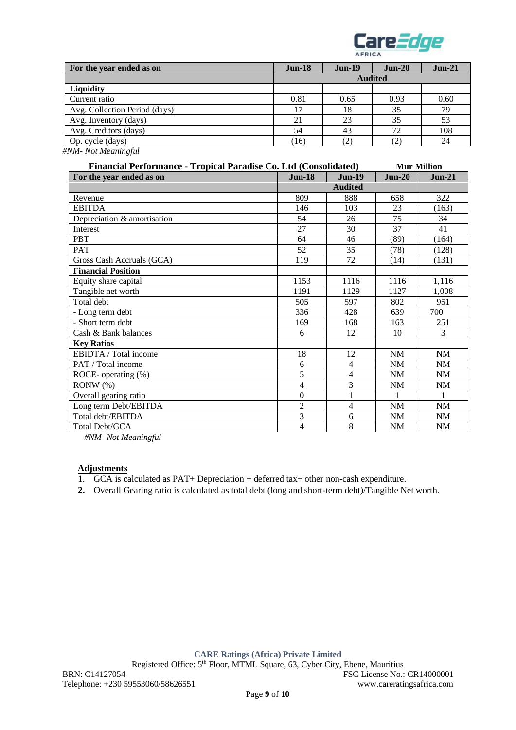

| For the year ended as on      | $Jun-18$ | <b>Jun-19</b>  | $Jun-20$ | $Jun-21$ |
|-------------------------------|----------|----------------|----------|----------|
|                               |          | <b>Audited</b> |          |          |
| Liquidity                     |          |                |          |          |
| Current ratio                 | 0.81     | 0.65           | 0.93     | 0.60     |
| Avg. Collection Period (days) |          | 18             | 35       | 79       |
| Avg. Inventory (days)         | 21       | 23             | 35       | 53       |
| Avg. Creditors (days)         | 54       | 43             | 72       | 108      |
| Op. cycle (days)              | (16)     | (2)            |          | 24       |

*#NM- Not Meaningful* 

| Financial Performance - Tropical Paradise Co. Ltd (Consolidated) |                  |                |              | <b>Mur Million</b> |  |
|------------------------------------------------------------------|------------------|----------------|--------------|--------------------|--|
| For the year ended as on                                         | <b>Jun-18</b>    | <b>Jun-19</b>  | $Jun-20$     | $Jun-21$           |  |
|                                                                  |                  | <b>Audited</b> |              |                    |  |
| Revenue                                                          | 809              | 888            | 658          | 322                |  |
| <b>EBITDA</b>                                                    | 146              | 103            | 23           | (163)              |  |
| Depreciation & amortisation                                      | 54               | 26             | 75           | 34                 |  |
| Interest                                                         | 27               | 30             | 37           | 41                 |  |
| <b>PBT</b>                                                       | 64               | 46             | (89)         | (164)              |  |
| <b>PAT</b>                                                       | 52               | 35             | (78)         | (128)              |  |
| Gross Cash Accruals (GCA)                                        | 119              | 72             | (14)         | (131)              |  |
| <b>Financial Position</b>                                        |                  |                |              |                    |  |
| Equity share capital                                             | 1153             | 1116           | 1116         | 1,116              |  |
| Tangible net worth                                               | 1191             | 1129           | 1127         | 1,008              |  |
| Total debt                                                       | 505              | 597            | 802          | 951                |  |
| - Long term debt                                                 | 336              | 428            | 639          | 700                |  |
| - Short term debt                                                | 169              | 168            | 163          | 251                |  |
| Cash & Bank balances                                             | 6                | 12             | 10           | 3                  |  |
| <b>Key Ratios</b>                                                |                  |                |              |                    |  |
| EBIDTA / Total income                                            | 18               | 12             | <b>NM</b>    | <b>NM</b>          |  |
| PAT / Total income                                               | 6                | $\overline{4}$ | <b>NM</b>    | <b>NM</b>          |  |
| ROCE-operating $(\%)$                                            | 5                | 4              | <b>NM</b>    | <b>NM</b>          |  |
| RONW(%)                                                          | $\overline{4}$   | 3              | NM           | NM                 |  |
| Overall gearing ratio                                            | $\boldsymbol{0}$ | $\mathbf{1}$   | $\mathbf{1}$ | $\mathbf{1}$       |  |
| Long term Debt/EBITDA                                            | $\overline{2}$   | 4              | <b>NM</b>    | <b>NM</b>          |  |
| Total debt/EBITDA                                                | 3                | 6              | <b>NM</b>    | <b>NM</b>          |  |
| Total Debt/GCA                                                   | 4                | 8              | <b>NM</b>    | <b>NM</b>          |  |

 *#NM- Not Meaningful* 

### **Adjustments**

1. GCA is calculated as PAT+ Depreciation + deferred tax+ other non-cash expenditure.

**2.** Overall Gearing ratio is calculated as total debt (long and short-term debt)/Tangible Net worth.